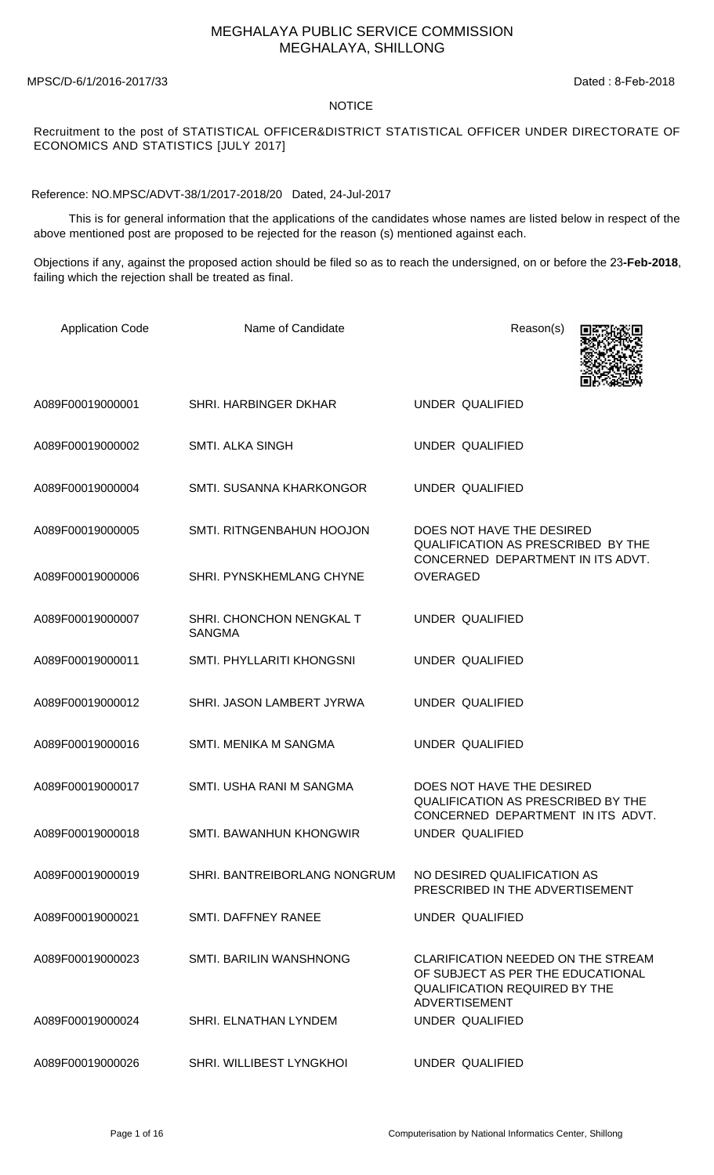## MEGHALAYA PUBLIC SERVICE COMMISSION MEGHALAYA, SHILLONG

MPSC/D-6/1/2016-2017/33 Dated : 8-Feb-2018

## NOTICE

## Recruitment to the post of STATISTICAL OFFICER&DISTRICT STATISTICAL OFFICER UNDER DIRECTORATE OF ECONOMICS AND STATISTICS [JULY 2017]

Reference: NO.MPSC/ADVT-38/1/2017-2018/20 Dated, 24-Jul-2017

 This is for general information that the applications of the candidates whose names are listed below in respect of the above mentioned post are proposed to be rejected for the reason (s) mentioned against each.

Objections if any, against the proposed action should be filed so as to reach the undersigned, on or before the 23**-Feb-2018**, failing which the rejection shall be treated as final.

| <b>Application Code</b> | Name of Candidate                         | Reason(s)                                                                                                                               |
|-------------------------|-------------------------------------------|-----------------------------------------------------------------------------------------------------------------------------------------|
| A089F00019000001        | SHRI. HARBINGER DKHAR                     | UNDER QUALIFIED                                                                                                                         |
| A089F00019000002        | <b>SMTI. ALKA SINGH</b>                   | UNDER QUALIFIED                                                                                                                         |
| A089F00019000004        | SMTI. SUSANNA KHARKONGOR                  | UNDER QUALIFIED                                                                                                                         |
| A089F00019000005        | SMTI. RITNGENBAHUN HOOJON                 | DOES NOT HAVE THE DESIRED<br>QUALIFICATION AS PRESCRIBED BY THE<br>CONCERNED DEPARTMENT IN ITS ADVT.                                    |
| A089F00019000006        | <b>SHRI. PYNSKHEMLANG CHYNE</b>           | <b>OVERAGED</b>                                                                                                                         |
| A089F00019000007        | SHRI. CHONCHON NENGKAL T<br><b>SANGMA</b> | <b>UNDER QUALIFIED</b>                                                                                                                  |
| A089F00019000011        | SMTI. PHYLLARITI KHONGSNI                 | <b>UNDER QUALIFIED</b>                                                                                                                  |
| A089F00019000012        | SHRI. JASON LAMBERT JYRWA                 | <b>UNDER QUALIFIED</b>                                                                                                                  |
| A089F00019000016        | SMTI. MENIKA M SANGMA                     | <b>UNDER QUALIFIED</b>                                                                                                                  |
| A089F00019000017        | SMTI. USHA RANI M SANGMA                  | DOES NOT HAVE THE DESIRED<br><b>QUALIFICATION AS PRESCRIBED BY THE</b><br>CONCERNED DEPARTMENT IN ITS ADVT.                             |
| A089F00019000018        | SMTI. BAWANHUN KHONGWIR                   | <b>UNDER QUALIFIED</b>                                                                                                                  |
| A089F00019000019        | SHRI. BANTREIBORLANG NONGRUM              | NO DESIRED QUALIFICATION AS<br>PRESCRIBED IN THE ADVERTISEMENT                                                                          |
| A089F00019000021        | SMTL DAFFNEY RANFF                        | UNDER QUALIFIED                                                                                                                         |
| A089F00019000023        | <b>SMTI. BARILIN WANSHNONG</b>            | CLARIFICATION NEEDED ON THE STREAM<br>OF SUBJECT AS PER THE EDUCATIONAL<br><b>QUALIFICATION REQUIRED BY THE</b><br><b>ADVERTISEMENT</b> |
| A089F00019000024        | SHRI. ELNATHAN LYNDEM                     | UNDER QUALIFIED                                                                                                                         |
| A089F00019000026        | SHRI. WILLIBEST LYNGKHOI                  | UNDER QUALIFIED                                                                                                                         |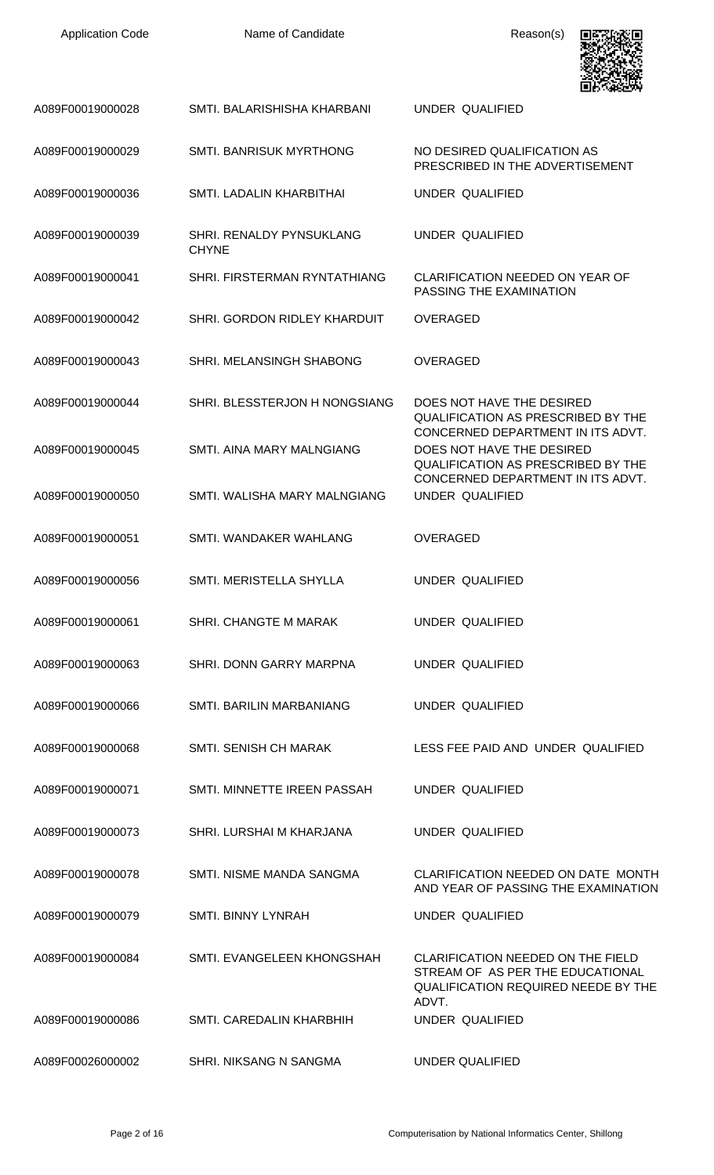| <b>Application Code</b> | Name of Candidate                        | Reason(s)                                                                                                                    |
|-------------------------|------------------------------------------|------------------------------------------------------------------------------------------------------------------------------|
| A089F00019000028        | SMTI. BALARISHISHA KHARBANI              | UNDER QUALIFIED                                                                                                              |
| A089F00019000029        | <b>SMTI. BANRISUK MYRTHONG</b>           | NO DESIRED QUALIFICATION AS<br>PRESCRIBED IN THE ADVERTISEMENT                                                               |
| A089F00019000036        | SMTI. LADALIN KHARBITHAI                 | UNDER QUALIFIED                                                                                                              |
| A089F00019000039        | SHRI. RENALDY PYNSUKLANG<br><b>CHYNE</b> | UNDER QUALIFIED                                                                                                              |
| A089F00019000041        | SHRI. FIRSTERMAN RYNTATHIANG             | <b>CLARIFICATION NEEDED ON YEAR OF</b><br>PASSING THE EXAMINATION                                                            |
| A089F00019000042        | SHRI. GORDON RIDLEY KHARDUIT             | <b>OVERAGED</b>                                                                                                              |
| A089F00019000043        | <b>SHRI. MELANSINGH SHABONG</b>          | OVERAGED                                                                                                                     |
| A089F00019000044        | SHRI. BLESSTERJON H NONGSIANG            | DOES NOT HAVE THE DESIRED<br><b>QUALIFICATION AS PRESCRIBED BY THE</b><br>CONCERNED DEPARTMENT IN ITS ADVT.                  |
| A089F00019000045        | SMTI. AINA MARY MALNGIANG                | DOES NOT HAVE THE DESIRED<br><b>QUALIFICATION AS PRESCRIBED BY THE</b><br>CONCERNED DEPARTMENT IN ITS ADVT.                  |
| A089F00019000050        | SMTI. WALISHA MARY MALNGIANG             | UNDER QUALIFIED                                                                                                              |
| A089F00019000051        | SMTI. WANDAKER WAHLANG                   | <b>OVERAGED</b>                                                                                                              |
| A089F00019000056        | SMTI. MERISTELLA SHYLLA                  | UNDER QUALIFIED                                                                                                              |
| A089F00019000061        | SHRI, CHANGTE M MARAK                    | UNDER QUALIFIED                                                                                                              |
| A089F00019000063        | SHRI. DONN GARRY MARPNA                  | UNDER QUALIFIED                                                                                                              |
| A089F00019000066        | <b>SMTI. BARILIN MARBANIANG</b>          | UNDER QUALIFIED                                                                                                              |
| A089F00019000068        | SMTI. SENISH CH MARAK                    | LESS FEE PAID AND UNDER QUALIFIED                                                                                            |
| A089F00019000071        | SMTI. MINNETTE IREEN PASSAH              | UNDER QUALIFIED                                                                                                              |
| A089F00019000073        | SHRI. LURSHAI M KHARJANA                 | UNDER QUALIFIED                                                                                                              |
| A089F00019000078        | SMTI. NISME MANDA SANGMA                 | CLARIFICATION NEEDED ON DATE MONTH<br>AND YEAR OF PASSING THE EXAMINATION                                                    |
| A089F00019000079        | <b>SMTI. BINNY LYNRAH</b>                | UNDER QUALIFIED                                                                                                              |
| A089F00019000084        | SMTI. EVANGELEEN KHONGSHAH               | CLARIFICATION NEEDED ON THE FIELD<br>STREAM OF AS PER THE EDUCATIONAL<br><b>QUALIFICATION REQUIRED NEEDE BY THE</b><br>ADVT. |
| A089F00019000086        | SMTI. CAREDALIN KHARBHIH                 | UNDER QUALIFIED                                                                                                              |
| A089F00026000002        | <b>SHRI. NIKSANG N SANGMA</b>            | <b>UNDER QUALIFIED</b>                                                                                                       |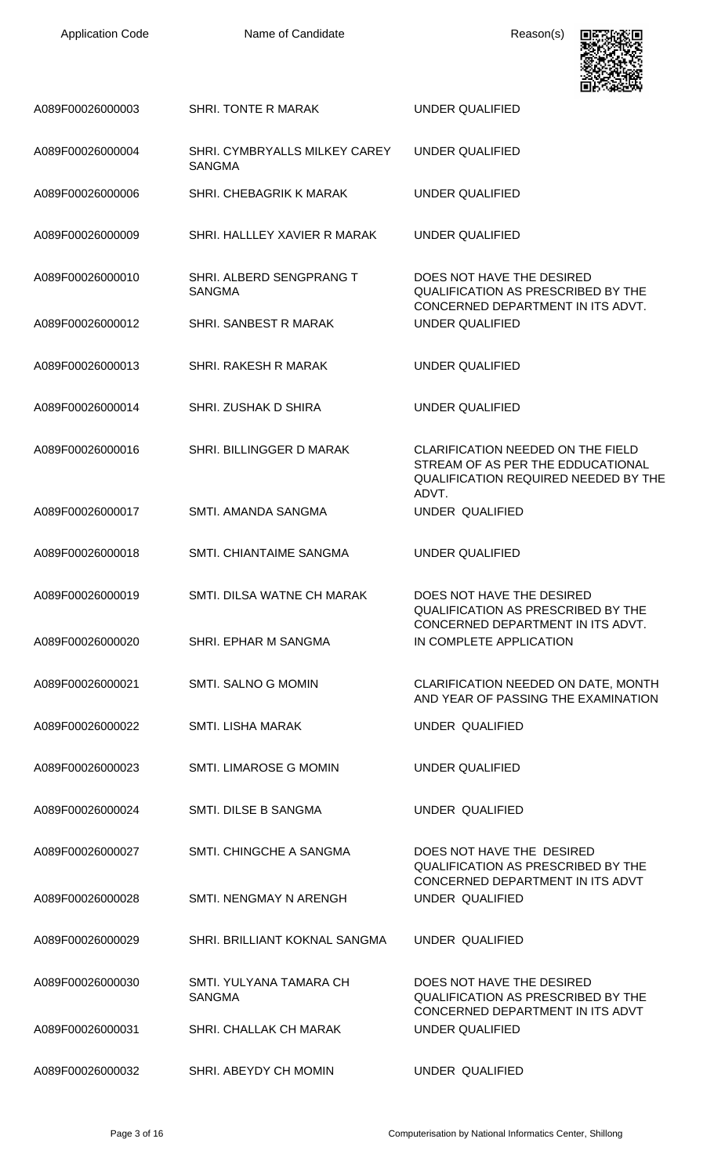| <b>Application Code</b> |  |
|-------------------------|--|
|-------------------------|--|

Name of Candidate Reason(s)



|                  |                                                | LU GRUNT                                                                                                                              |
|------------------|------------------------------------------------|---------------------------------------------------------------------------------------------------------------------------------------|
| A089F00026000003 | <b>SHRI. TONTE R MARAK</b>                     | <b>UNDER QUALIFIED</b>                                                                                                                |
| A089F00026000004 | SHRI. CYMBRYALLS MILKEY CAREY<br><b>SANGMA</b> | UNDER QUALIFIED                                                                                                                       |
| A089F00026000006 | SHRI. CHEBAGRIK K MARAK                        | <b>UNDER QUALIFIED</b>                                                                                                                |
| A089F00026000009 | SHRI. HALLLEY XAVIER R MARAK                   | <b>UNDER QUALIFIED</b>                                                                                                                |
| A089F00026000010 | SHRI. ALBERD SENGPRANG T<br><b>SANGMA</b>      | DOES NOT HAVE THE DESIRED<br><b>QUALIFICATION AS PRESCRIBED BY THE</b><br>CONCERNED DEPARTMENT IN ITS ADVT.                           |
| A089F00026000012 | <b>SHRI. SANBEST R MARAK</b>                   | UNDER QUALIFIED                                                                                                                       |
| A089F00026000013 | <b>SHRI. RAKESH R MARAK</b>                    | UNDER QUALIFIED                                                                                                                       |
| A089F00026000014 | SHRI, ZUSHAK D SHIRA                           | UNDER QUALIFIED                                                                                                                       |
| A089F00026000016 | SHRI. BILLINGGER D MARAK                       | <b>CLARIFICATION NEEDED ON THE FIELD</b><br>STREAM OF AS PER THE EDDUCATIONAL<br><b>QUALIFICATION REQUIRED NEEDED BY THE</b><br>ADVT. |
| A089F00026000017 | SMTI. AMANDA SANGMA                            | UNDER QUALIFIED                                                                                                                       |
| A089F00026000018 | SMTI. CHIANTAIME SANGMA                        | <b>UNDER QUALIFIED</b>                                                                                                                |
| A089F00026000019 | SMTI. DILSA WATNE CH MARAK                     | DOES NOT HAVE THE DESIRED<br>QUALIFICATION AS PRESCRIBED BY THE<br>CONCERNED DEPARTMENT IN ITS ADVT.                                  |
| A089F00026000020 | SHRI. EPHAR M SANGMA                           | IN COMPLETE APPLICATION                                                                                                               |
| A089F00026000021 | <b>SMTI. SALNO G MOMIN</b>                     | CLARIFICATION NEEDED ON DATE, MONTH<br>AND YEAR OF PASSING THE EXAMINATION                                                            |
| A089F00026000022 | <b>SMTI. LISHA MARAK</b>                       | UNDER QUALIFIED                                                                                                                       |
| A089F00026000023 | <b>SMTI. LIMAROSE G MOMIN</b>                  | UNDER QUALIFIED                                                                                                                       |
| A089F00026000024 | SMTI. DILSE B SANGMA                           | UNDER QUALIFIED                                                                                                                       |
| A089F00026000027 | SMTI, CHINGCHE A SANGMA                        | DOES NOT HAVE THE DESIRED<br><b>QUALIFICATION AS PRESCRIBED BY THE</b><br>CONCERNED DEPARTMENT IN ITS ADVT                            |
| A089F00026000028 | SMTI. NENGMAY N ARENGH                         | UNDER QUALIFIED                                                                                                                       |
| A089F00026000029 | SHRI. BRILLIANT KOKNAL SANGMA                  | UNDER QUALIFIED                                                                                                                       |
| A089F00026000030 | SMTI, YULYANA TAMARA CH<br><b>SANGMA</b>       | DOES NOT HAVE THE DESIRED<br><b>QUALIFICATION AS PRESCRIBED BY THE</b><br>CONCERNED DEPARTMENT IN ITS ADVT                            |
| A089F00026000031 | SHRI. CHALLAK CH MARAK                         | UNDER QUALIFIED                                                                                                                       |
| A089F00026000032 | SHRI. ABEYDY CH MOMIN                          | UNDER QUALIFIED                                                                                                                       |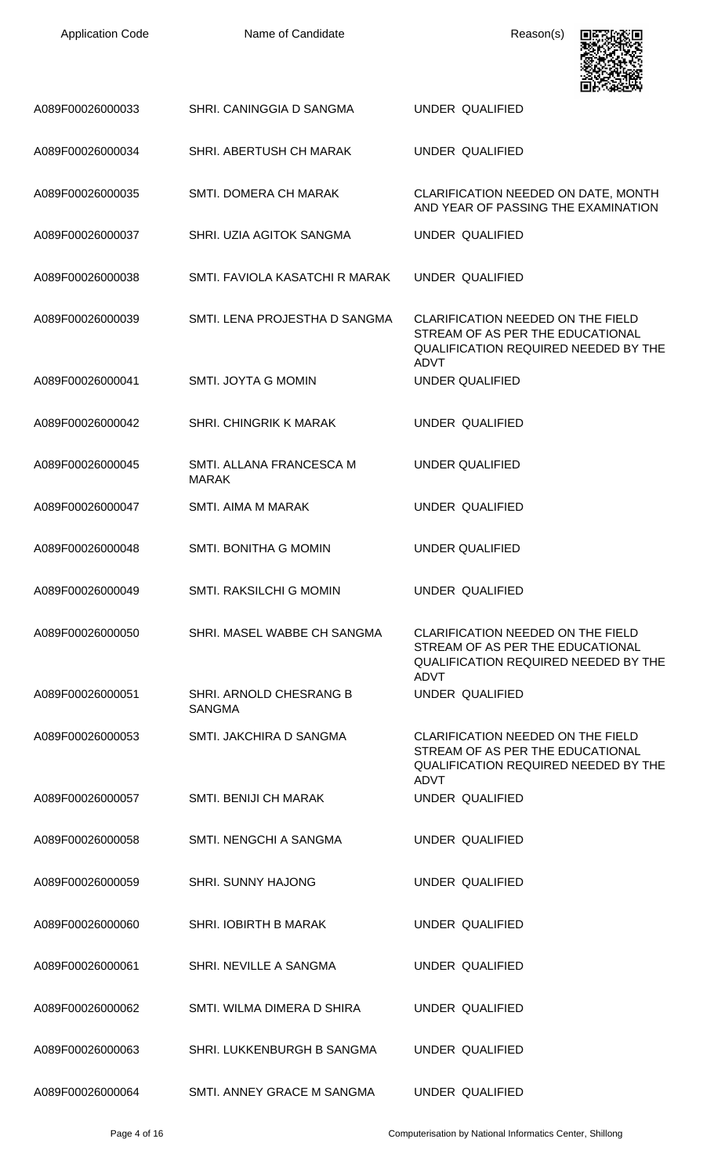| <b>Application Code</b> | Name of Candidate                        | Reason(s)                                                                                                                                  |
|-------------------------|------------------------------------------|--------------------------------------------------------------------------------------------------------------------------------------------|
| A089F00026000033        | SHRI. CANINGGIA D SANGMA                 | <b>UNDER QUALIFIED</b>                                                                                                                     |
| A089F00026000034        | SHRI. ABERTUSH CH MARAK                  | <b>UNDER QUALIFIED</b>                                                                                                                     |
| A089F00026000035        | SMTI. DOMERA CH MARAK                    | CLARIFICATION NEEDED ON DATE, MONTH<br>AND YEAR OF PASSING THE EXAMINATION                                                                 |
| A089F00026000037        | SHRI. UZIA AGITOK SANGMA                 | UNDER QUALIFIED                                                                                                                            |
| A089F00026000038        | SMTI. FAVIOLA KASATCHI R MARAK           | <b>UNDER QUALIFIED</b>                                                                                                                     |
| A089F00026000039        | SMTI. LENA PROJESTHA D SANGMA            | <b>CLARIFICATION NEEDED ON THE FIELD</b><br>STREAM OF AS PER THE EDUCATIONAL<br>QUALIFICATION REQUIRED NEEDED BY THE<br><b>ADVT</b>        |
| A089F00026000041        | SMTI. JOYTA G MOMIN                      | <b>UNDER QUALIFIED</b>                                                                                                                     |
| A089F00026000042        | SHRI. CHINGRIK K MARAK                   | UNDER QUALIFIED                                                                                                                            |
| A089F00026000045        | SMTI. ALLANA FRANCESCA M<br><b>MARAK</b> | <b>UNDER QUALIFIED</b>                                                                                                                     |
| A089F00026000047        | SMTI. AIMA M MARAK                       | <b>UNDER QUALIFIED</b>                                                                                                                     |
| A089F00026000048        | SMTI. BONITHA G MOMIN                    | <b>UNDER QUALIFIED</b>                                                                                                                     |
| A089F00026000049        | SMTI. RAKSILCHI G MOMIN                  | UNDER QUALIFIED                                                                                                                            |
| A089F00026000050        | SHRI. MASEL WABBE CH SANGMA              | CLARIFICATION NEEDED ON THE FIELD<br>STREAM OF AS PER THE EDUCATIONAL<br><b>QUALIFICATION REQUIRED NEEDED BY THE</b><br><b>ADVT</b>        |
| A089F00026000051        | SHRI. ARNOLD CHESRANG B<br><b>SANGMA</b> | UNDER QUALIFIED                                                                                                                            |
| A089F00026000053        | SMTI. JAKCHIRA D SANGMA                  | <b>CLARIFICATION NEEDED ON THE FIELD</b><br>STREAM OF AS PER THE EDUCATIONAL<br><b>QUALIFICATION REQUIRED NEEDED BY THE</b><br><b>ADVT</b> |
| A089F00026000057        | SMTI. BENIJI CH MARAK                    | UNDER QUALIFIED                                                                                                                            |
| A089F00026000058        | SMTI. NENGCHI A SANGMA                   | UNDER QUALIFIED                                                                                                                            |
| A089F00026000059        | <b>SHRI. SUNNY HAJONG</b>                | UNDER QUALIFIED                                                                                                                            |
| A089F00026000060        | <b>SHRI. IOBIRTH B MARAK</b>             | <b>UNDER QUALIFIED</b>                                                                                                                     |
| A089F00026000061        | SHRI. NEVILLE A SANGMA                   | UNDER QUALIFIED                                                                                                                            |
| A089F00026000062        | SMTI. WILMA DIMERA D SHIRA               | UNDER QUALIFIED                                                                                                                            |
| A089F00026000063        | SHRI. LUKKENBURGH B SANGMA               | UNDER QUALIFIED                                                                                                                            |
| A089F00026000064        | SMTI. ANNEY GRACE M SANGMA               | UNDER QUALIFIED                                                                                                                            |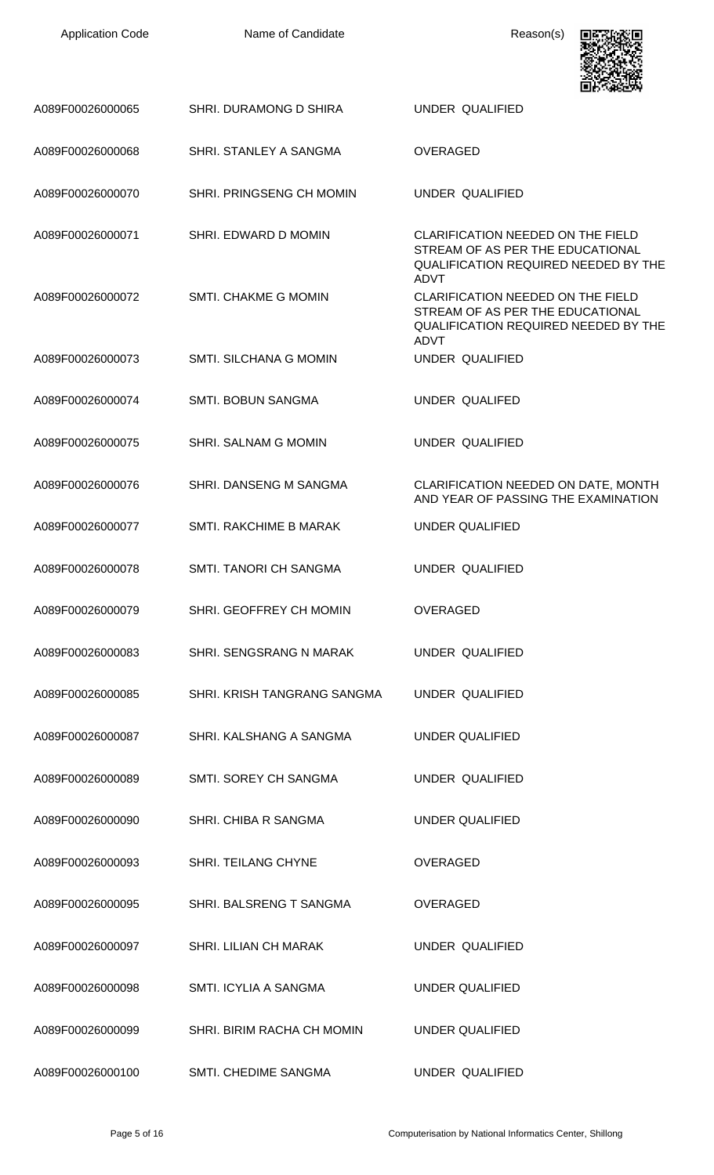| <b>Application Code</b> | Name of Candidate             | Reason(s)                                                                                                                                                 |
|-------------------------|-------------------------------|-----------------------------------------------------------------------------------------------------------------------------------------------------------|
| A089F00026000065        | SHRI. DURAMONG D SHIRA        | <b>UNDER QUALIFIED</b>                                                                                                                                    |
| A089F00026000068        | SHRI. STANLEY A SANGMA        | <b>OVERAGED</b>                                                                                                                                           |
| A089F00026000070        | SHRI. PRINGSENG CH MOMIN      | <b>UNDER QUALIFIED</b>                                                                                                                                    |
| A089F00026000071        | SHRI. EDWARD D MOMIN          | CLARIFICATION NEEDED ON THE FIELD<br>STREAM OF AS PER THE EDUCATIONAL<br>QUALIFICATION REQUIRED NEEDED BY THE                                             |
| A089F00026000072        | <b>SMTI. CHAKME G MOMIN</b>   | <b>ADVT</b><br><b>CLARIFICATION NEEDED ON THE FIELD</b><br>STREAM OF AS PER THE EDUCATIONAL<br><b>QUALIFICATION REQUIRED NEEDED BY THE</b><br><b>ADVT</b> |
| A089F00026000073        | <b>SMTI. SILCHANA G MOMIN</b> | UNDER QUALIFIED                                                                                                                                           |
| A089F00026000074        | <b>SMTI. BOBUN SANGMA</b>     | UNDER QUALIFED                                                                                                                                            |
| A089F00026000075        | SHRI. SALNAM G MOMIN          | UNDER QUALIFIED                                                                                                                                           |
| A089F00026000076        | SHRI, DANSENG M SANGMA        | CLARIFICATION NEEDED ON DATE, MONTH<br>AND YEAR OF PASSING THE EXAMINATION                                                                                |
| A089F00026000077        | SMTI. RAKCHIME B MARAK        | <b>UNDER QUALIFIED</b>                                                                                                                                    |
| A089F00026000078        | SMTI. TANORI CH SANGMA        | <b>UNDER QUALIFIED</b>                                                                                                                                    |
| A089F00026000079        | SHRI. GEOFFREY CH MOMIN       | <b>OVERAGED</b>                                                                                                                                           |
| A089F00026000083        | SHRI. SENGSRANG N MARAK       | <b>UNDER QUALIFIED</b>                                                                                                                                    |
| A089F00026000085        | SHRI. KRISH TANGRANG SANGMA   | <b>UNDER QUALIFIED</b>                                                                                                                                    |
| A089F00026000087        | SHRI. KALSHANG A SANGMA       | <b>UNDER QUALIFIED</b>                                                                                                                                    |
| A089F00026000089        | SMTI. SOREY CH SANGMA         | <b>UNDER QUALIFIED</b>                                                                                                                                    |
| A089F00026000090        | SHRI. CHIBA R SANGMA          | <b>UNDER QUALIFIED</b>                                                                                                                                    |
| A089F00026000093        | SHRI. TEILANG CHYNE           | <b>OVERAGED</b>                                                                                                                                           |
| A089F00026000095        | SHRI. BALSRENG T SANGMA       | <b>OVERAGED</b>                                                                                                                                           |
| A089F00026000097        | <b>SHRI. LILIAN CH MARAK</b>  | <b>UNDER QUALIFIED</b>                                                                                                                                    |
| A089F00026000098        | SMTI. ICYLIA A SANGMA         | <b>UNDER QUALIFIED</b>                                                                                                                                    |
| A089F00026000099        | SHRI. BIRIM RACHA CH MOMIN    | <b>UNDER QUALIFIED</b>                                                                                                                                    |
| A089F00026000100        | SMTI. CHEDIME SANGMA          | UNDER QUALIFIED                                                                                                                                           |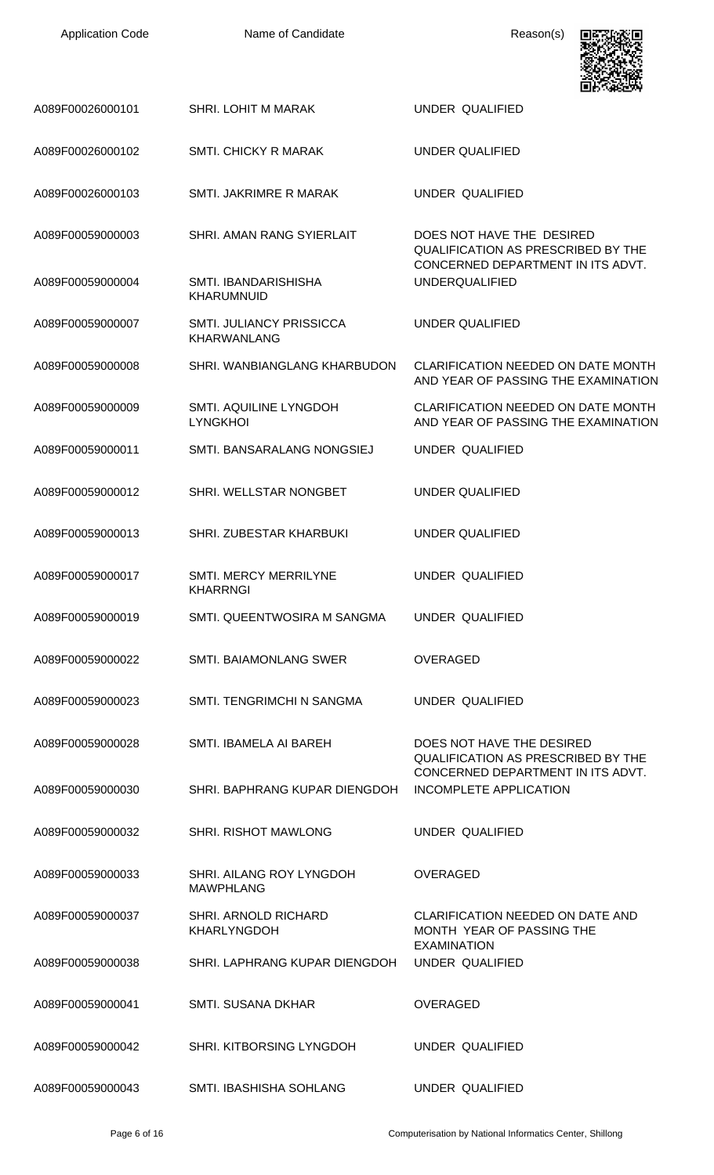| <b>Application Code</b> | Name of Candidate                                     | Reason(s)                                                                                            |
|-------------------------|-------------------------------------------------------|------------------------------------------------------------------------------------------------------|
| A089F00026000101        | SHRI. LOHIT M MARAK                                   | <b>UNDER QUALIFIED</b>                                                                               |
| A089F00026000102        | <b>SMTI. CHICKY R MARAK</b>                           | <b>UNDER QUALIFIED</b>                                                                               |
| A089F00026000103        | SMTI, JAKRIMRE R MARAK                                | <b>UNDER QUALIFIED</b>                                                                               |
| A089F00059000003        | SHRI. AMAN RANG SYIERLAIT                             | DOES NOT HAVE THE DESIRED<br>QUALIFICATION AS PRESCRIBED BY THE<br>CONCERNED DEPARTMENT IN ITS ADVT. |
| A089F00059000004        | <b>SMTI. IBANDARISHISHA</b><br><b>KHARUMNUID</b>      | <b>UNDERQUALIFIED</b>                                                                                |
| A089F00059000007        | <b>SMTI. JULIANCY PRISSICCA</b><br><b>KHARWANLANG</b> | <b>UNDER QUALIFIED</b>                                                                               |
| A089F00059000008        | SHRI. WANBIANGLANG KHARBUDON                          | <b>CLARIFICATION NEEDED ON DATE MONTH</b><br>AND YEAR OF PASSING THE EXAMINATION                     |
| A089F00059000009        | SMTI. AQUILINE LYNGDOH<br><b>LYNGKHOI</b>             | CLARIFICATION NEEDED ON DATE MONTH<br>AND YEAR OF PASSING THE EXAMINATION                            |
| A089F00059000011        | SMTI. BANSARALANG NONGSIEJ                            | UNDER QUALIFIED                                                                                      |
| A089F00059000012        | SHRI. WELLSTAR NONGBET                                | <b>UNDER QUALIFIED</b>                                                                               |
| A089F00059000013        | SHRI. ZUBESTAR KHARBUKI                               | <b>UNDER QUALIFIED</b>                                                                               |
| A089F00059000017        | SMTI. MERCY MERRILYNE<br><b>KHARRNGI</b>              | UNDER QUALIFIED                                                                                      |
| A089F00059000019        | SMTI. QUEENTWOSIRA M SANGMA                           | UNDER QUALIFIED                                                                                      |
| A089F00059000022        | SMTI. BAIAMONLANG SWER                                | <b>OVERAGED</b>                                                                                      |
| A089F00059000023        | SMTI. TENGRIMCHI N SANGMA                             | UNDER QUALIFIED                                                                                      |
| A089F00059000028        | SMTI. IBAMELA AI BAREH                                | DOES NOT HAVE THE DESIRED<br>QUALIFICATION AS PRESCRIBED BY THE<br>CONCERNED DEPARTMENT IN ITS ADVT. |
| A089F00059000030        | SHRI. BAPHRANG KUPAR DIENGDOH                         | <b>INCOMPLETE APPLICATION</b>                                                                        |
| A089F00059000032        | <b>SHRI. RISHOT MAWLONG</b>                           | UNDER QUALIFIED                                                                                      |
| A089F00059000033        | SHRI. AILANG ROY LYNGDOH<br><b>MAWPHLANG</b>          | OVERAGED                                                                                             |
| A089F00059000037        | SHRI. ARNOLD RICHARD<br><b>KHARLYNGDOH</b>            | CLARIFICATION NEEDED ON DATE AND<br>MONTH YEAR OF PASSING THE<br><b>EXAMINATION</b>                  |
| A089F00059000038        | SHRI. LAPHRANG KUPAR DIENGDOH                         | <b>UNDER QUALIFIED</b>                                                                               |
| A089F00059000041        | <b>SMTI. SUSANA DKHAR</b>                             | <b>OVERAGED</b>                                                                                      |
| A089F00059000042        | SHRI. KITBORSING LYNGDOH                              | UNDER QUALIFIED                                                                                      |
| A089F00059000043        | SMTI. IBASHISHA SOHLANG                               | <b>UNDER QUALIFIED</b>                                                                               |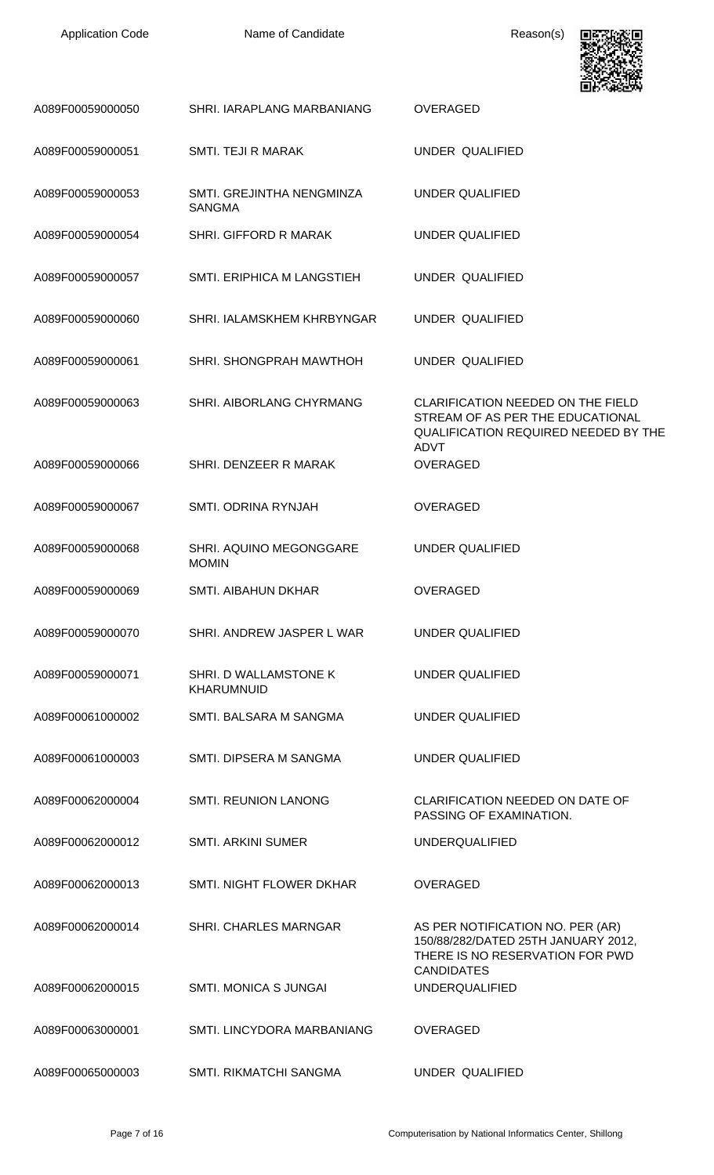| <b>Application Code</b> |  |
|-------------------------|--|
|-------------------------|--|

Name of Candidate **Reason(s)** 



| A089F00059000050 | SHRI. IARAPLANG MARBANIANG                 | <b>OVERAGED</b>                                                                                                                 |
|------------------|--------------------------------------------|---------------------------------------------------------------------------------------------------------------------------------|
| A089F00059000051 | SMTI. TEJI R MARAK                         | UNDER QUALIFIED                                                                                                                 |
| A089F00059000053 | SMTI. GREJINTHA NENGMINZA<br><b>SANGMA</b> | UNDER QUALIFIED                                                                                                                 |
| A089F00059000054 | SHRI. GIFFORD R MARAK                      | <b>UNDER QUALIFIED</b>                                                                                                          |
| A089F00059000057 | SMTI. ERIPHICA M LANGSTIEH                 | UNDER QUALIFIED                                                                                                                 |
| A089F00059000060 | SHRI. IALAMSKHEM KHRBYNGAR                 | UNDER QUALIFIED                                                                                                                 |
| A089F00059000061 | SHRI. SHONGPRAH MAWTHOH                    | UNDER QUALIFIED                                                                                                                 |
| A089F00059000063 | SHRI. AIBORLANG CHYRMANG                   | <b>CLARIFICATION NEEDED ON THE FIELD</b><br>STREAM OF AS PER THE EDUCATIONAL<br><b>QUALIFICATION REQUIRED NEEDED BY THE</b>     |
| A089F00059000066 | SHRI. DENZEER R MARAK                      | <b>ADVT</b><br><b>OVERAGED</b>                                                                                                  |
| A089F00059000067 | SMTI. ODRINA RYNJAH                        | <b>OVERAGED</b>                                                                                                                 |
| A089F00059000068 | SHRI. AQUINO MEGONGGARE<br><b>MOMIN</b>    | <b>UNDER QUALIFIED</b>                                                                                                          |
| A089F00059000069 | <b>SMTI. AIBAHUN DKHAR</b>                 | <b>OVERAGED</b>                                                                                                                 |
| A089F00059000070 | SHRI, ANDREW JASPER L WAR                  | UNDER QUALIFIED                                                                                                                 |
| A089F00059000071 | SHRI. D WALLAMSTONE K<br><b>KHARUMNUID</b> | <b>UNDER QUALIFIED</b>                                                                                                          |
| A089F00061000002 | SMTI. BALSARA M SANGMA                     | UNDER QUALIFIED                                                                                                                 |
| A089F00061000003 | SMTL DIPSERA M SANGMA                      | UNDER QUALIFIED                                                                                                                 |
| A089F00062000004 | <b>SMTI. REUNION LANONG</b>                | <b>CLARIFICATION NEEDED ON DATE OF</b><br>PASSING OF EXAMINATION.                                                               |
| A089F00062000012 | <b>SMTI. ARKINI SUMER</b>                  | <b>UNDERQUALIFIED</b>                                                                                                           |
| A089F00062000013 | SMTI. NIGHT FLOWER DKHAR                   | <b>OVERAGED</b>                                                                                                                 |
| A089F00062000014 | <b>SHRI. CHARLES MARNGAR</b>               | AS PER NOTIFICATION NO. PER (AR)<br>150/88/282/DATED 25TH JANUARY 2012,<br>THERE IS NO RESERVATION FOR PWD<br><b>CANDIDATES</b> |
| A089F00062000015 | <b>SMTI. MONICA S JUNGAI</b>               | <b>UNDERQUALIFIED</b>                                                                                                           |
| A089F00063000001 | SMTI. LINCYDORA MARBANIANG                 | <b>OVERAGED</b>                                                                                                                 |
| A089F00065000003 | <b>SMTI. RIKMATCHI SANGMA</b>              | UNDER QUALIFIED                                                                                                                 |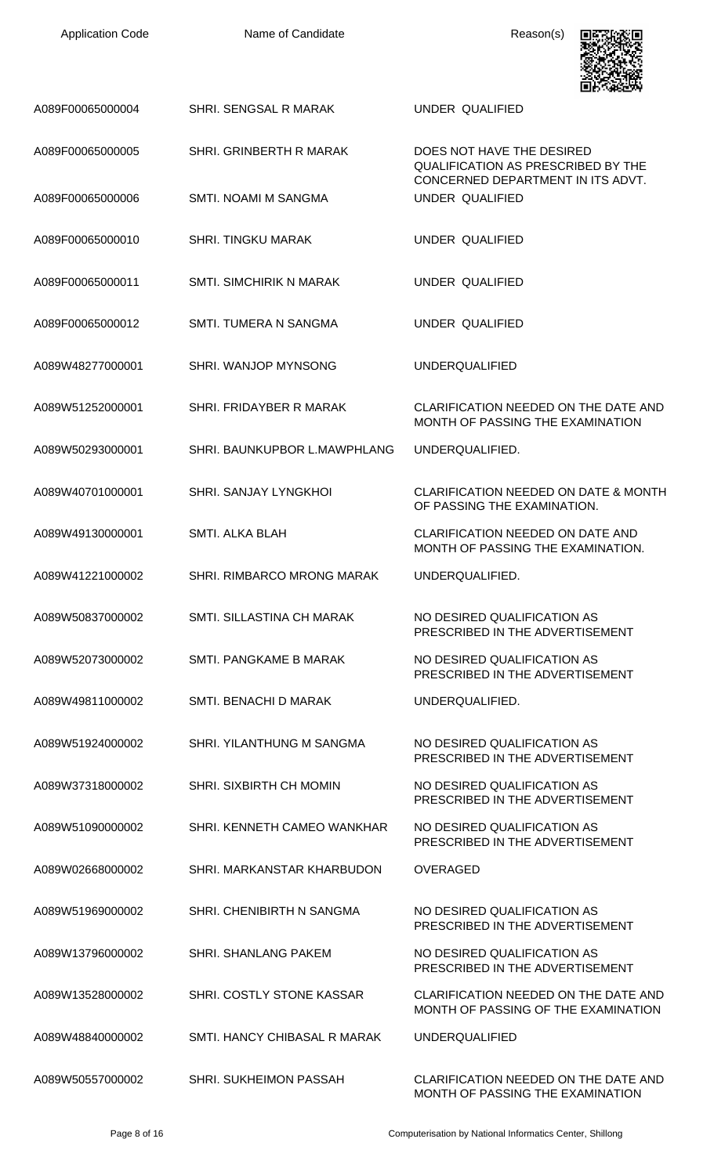| <b>Application Code</b> | Name of Candidate                 | Reason(s)                                                                                            |
|-------------------------|-----------------------------------|------------------------------------------------------------------------------------------------------|
| A089F00065000004        | SHRI. SENGSAL R MARAK             | UNDER QUALIFIED                                                                                      |
| A089F00065000005        | SHRI. GRINBERTH R MARAK           | DOES NOT HAVE THE DESIRED<br>QUALIFICATION AS PRESCRIBED BY THE<br>CONCERNED DEPARTMENT IN ITS ADVT. |
| A089F00065000006        | <b>SMTI. NOAMI M SANGMA</b>       | UNDER QUALIFIED                                                                                      |
| A089F00065000010        | <b>SHRI. TINGKU MARAK</b>         | UNDER QUALIFIED                                                                                      |
| A089F00065000011        | <b>SMTI. SIMCHIRIK N MARAK</b>    | UNDER QUALIFIED                                                                                      |
| A089F00065000012        | SMTL TUMERA N SANGMA              | UNDER QUALIFIED                                                                                      |
| A089W48277000001        | SHRI. WANJOP MYNSONG              | <b>UNDERQUALIFIED</b>                                                                                |
| A089W51252000001        | SHRI. FRIDAYBER R MARAK           | CLARIFICATION NEEDED ON THE DATE AND<br>MONTH OF PASSING THE EXAMINATION                             |
| A089W50293000001        | SHRI. BAUNKUPBOR L.MAWPHLANG      | UNDERQUALIFIED.                                                                                      |
| A089W40701000001        | <b>SHRI. SANJAY LYNGKHOL</b>      | <b>CLARIFICATION NEEDED ON DATE &amp; MONTH</b><br>OF PASSING THE EXAMINATION.                       |
| A089W49130000001        | <b>SMTI. ALKA BLAH</b>            | CLARIFICATION NEEDED ON DATE AND<br>MONTH OF PASSING THE EXAMINATION.                                |
| A089W41221000002        | <b>SHRI, RIMBARCO MRONG MARAK</b> | UNDERQUALIFIED.                                                                                      |
| A089W50837000002        | SMTI. SILLASTINA CH MARAK         | NO DESIRED QUALIFICATION AS<br>PRESCRIBED IN THE ADVERTISEMENT                                       |
| A089W52073000002        | SMTI. PANGKAME B MARAK            | NO DESIRED QUALIFICATION AS<br>PRESCRIBED IN THE ADVERTISEMENT                                       |
| A089W49811000002        | SMTI. BENACHI D MARAK             | UNDERQUALIFIED.                                                                                      |
| A089W51924000002        | SHRI. YILANTHUNG M SANGMA         | NO DESIRED QUALIFICATION AS<br>PRESCRIBED IN THE ADVERTISEMENT                                       |
| A089W37318000002        | SHRI. SIXBIRTH CH MOMIN           | NO DESIRED QUALIFICATION AS<br>PRESCRIBED IN THE ADVERTISEMENT                                       |
| A089W51090000002        | SHRI. KENNETH CAMEO WANKHAR       | NO DESIRED QUALIFICATION AS<br>PRESCRIBED IN THE ADVERTISEMENT                                       |
| A089W02668000002        | SHRI. MARKANSTAR KHARBUDON        | <b>OVERAGED</b>                                                                                      |
| A089W51969000002        | SHRI. CHENIBIRTH N SANGMA         | NO DESIRED QUALIFICATION AS<br>PRESCRIBED IN THE ADVERTISEMENT                                       |
| A089W13796000002        | <b>SHRI. SHANLANG PAKEM</b>       | NO DESIRED QUALIFICATION AS<br>PRESCRIBED IN THE ADVERTISEMENT                                       |
| A089W13528000002        | SHRI. COSTLY STONE KASSAR         | CLARIFICATION NEEDED ON THE DATE AND<br>MONTH OF PASSING OF THE EXAMINATION                          |
| A089W48840000002        | SMTI, HANCY CHIBASAL R MARAK      | <b>UNDERQUALIFIED</b>                                                                                |
| A089W50557000002        | SHRI. SUKHEIMON PASSAH            | CLARIFICATION NEEDED ON THE DATE AND<br>MONTH OF PASSING THE EXAMINATION                             |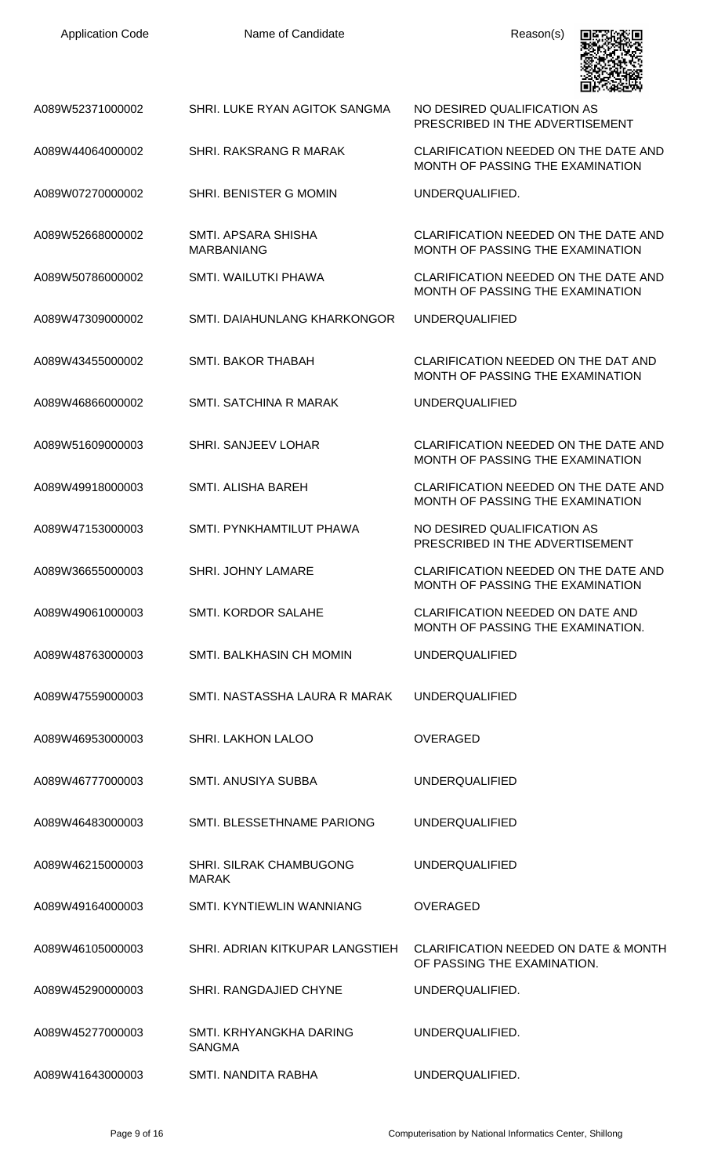| <b>Application Code</b> | Name of Candidate                        | Reason(s)                                                                      |
|-------------------------|------------------------------------------|--------------------------------------------------------------------------------|
| A089W52371000002        | SHRI. LUKE RYAN AGITOK SANGMA            | NO DESIRED QUALIFICATION AS<br>PRESCRIBED IN THE ADVERTISEMENT                 |
| A089W44064000002        | SHRI. RAKSRANG R MARAK                   | CLARIFICATION NEEDED ON THE DATE AND<br>MONTH OF PASSING THE EXAMINATION       |
| A089W07270000002        | SHRI. BENISTER G MOMIN                   | UNDERQUALIFIED.                                                                |
| A089W52668000002        | SMTI. APSARA SHISHA<br><b>MARBANIANG</b> | CLARIFICATION NEEDED ON THE DATE AND<br>MONTH OF PASSING THE EXAMINATION       |
| A089W50786000002        | SMTI. WAILUTKI PHAWA                     | CLARIFICATION NEEDED ON THE DATE AND<br>MONTH OF PASSING THE EXAMINATION       |
| A089W47309000002        | SMTI. DAIAHUNLANG KHARKONGOR             | <b>UNDERQUALIFIED</b>                                                          |
| A089W43455000002        | SMTI. BAKOR THABAH                       | CLARIFICATION NEEDED ON THE DAT AND<br>MONTH OF PASSING THE EXAMINATION        |
| A089W46866000002        | <b>SMTI. SATCHINA R MARAK</b>            | <b>UNDERQUALIFIED</b>                                                          |
| A089W51609000003        | SHRI. SANJEEV LOHAR                      | CLARIFICATION NEEDED ON THE DATE AND<br>MONTH OF PASSING THE EXAMINATION       |
| A089W49918000003        | SMTI. ALISHA BAREH                       | CLARIFICATION NEEDED ON THE DATE AND<br>MONTH OF PASSING THE EXAMINATION       |
| A089W47153000003        | SMTI. PYNKHAMTILUT PHAWA                 | NO DESIRED QUALIFICATION AS<br>PRESCRIBED IN THE ADVERTISEMENT                 |
| A089W36655000003        | <b>SHRI. JOHNY LAMARE</b>                | CLARIFICATION NEEDED ON THE DATE AND<br>MONTH OF PASSING THE EXAMINATION       |
| A089W49061000003        | <b>SMTI. KORDOR SALAHE</b>               | CLARIFICATION NEEDED ON DATE AND<br>MONTH OF PASSING THE EXAMINATION.          |
| A089W48763000003        | SMTI. BALKHASIN CH MOMIN                 | <b>UNDERQUALIFIED</b>                                                          |
| A089W47559000003        | SMTI. NASTASSHA LAURA R MARAK            | <b>UNDERQUALIFIED</b>                                                          |
| A089W46953000003        | SHRI. LAKHON LALOO                       | <b>OVERAGED</b>                                                                |
| A089W46777000003        | SMTI. ANUSIYA SUBBA                      | <b>UNDERQUALIFIED</b>                                                          |
| A089W46483000003        | SMTI. BLESSETHNAME PARIONG               | <b>UNDERQUALIFIED</b>                                                          |
| A089W46215000003        | SHRI. SILRAK CHAMBUGONG<br><b>MARAK</b>  | <b>UNDERQUALIFIED</b>                                                          |
| A089W49164000003        | SMTI. KYNTIEWLIN WANNIANG                | <b>OVERAGED</b>                                                                |
| A089W46105000003        | SHRI, ADRIAN KITKUPAR LANGSTIEH          | <b>CLARIFICATION NEEDED ON DATE &amp; MONTH</b><br>OF PASSING THE EXAMINATION. |
| A089W45290000003        | SHRI. RANGDAJIED CHYNE                   | UNDERQUALIFIED.                                                                |
| A089W45277000003        | SMTI, KRHYANGKHA DARING<br><b>SANGMA</b> | UNDERQUALIFIED.                                                                |
| A089W41643000003        | SMTI. NANDITA RABHA                      | UNDERQUALIFIED.                                                                |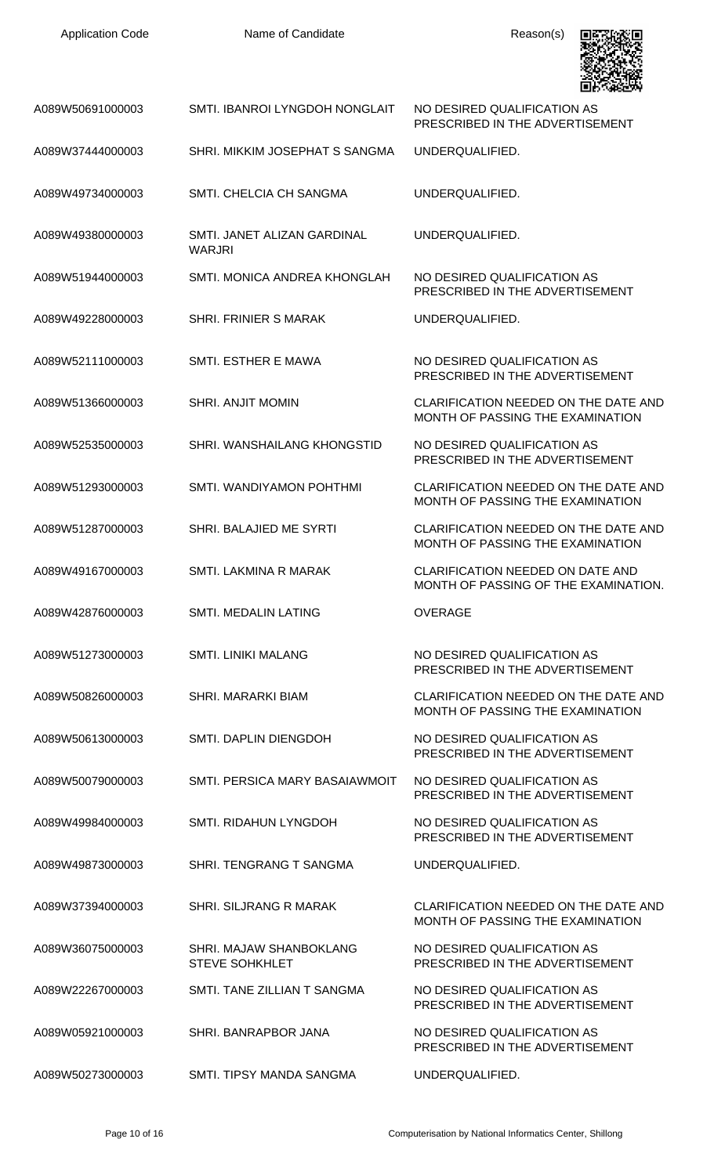| <b>Application Code</b> | Name of Candidate                                | Reason(s)                                                                       |
|-------------------------|--------------------------------------------------|---------------------------------------------------------------------------------|
| A089W50691000003        | SMTI. IBANROI LYNGDOH NONGLAIT                   | NO DESIRED QUALIFICATION AS<br>PRESCRIBED IN THE ADVERTISEMENT                  |
| A089W37444000003        | SHRI. MIKKIM JOSEPHAT S SANGMA                   | UNDERQUALIFIED.                                                                 |
| A089W49734000003        | SMTL CHELCIA CH SANGMA                           | UNDERQUALIFIED.                                                                 |
| A089W49380000003        | SMTI. JANET ALIZAN GARDINAL<br><b>WARJRI</b>     | UNDERQUALIFIED.                                                                 |
| A089W51944000003        | SMTI. MONICA ANDREA KHONGLAH                     | NO DESIRED QUALIFICATION AS<br>PRESCRIBED IN THE ADVERTISEMENT                  |
| A089W49228000003        | SHRI. FRINIER S MARAK                            | UNDERQUALIFIED.                                                                 |
| A089W52111000003        | SMTI. ESTHER E MAWA                              | NO DESIRED QUALIFICATION AS<br>PRESCRIBED IN THE ADVERTISEMENT                  |
| A089W51366000003        | <b>SHRI. ANJIT MOMIN</b>                         | CLARIFICATION NEEDED ON THE DATE AND<br>MONTH OF PASSING THE EXAMINATION        |
| A089W52535000003        | SHRI. WANSHAILANG KHONGSTID                      | NO DESIRED QUALIFICATION AS<br>PRESCRIBED IN THE ADVERTISEMENT                  |
| A089W51293000003        | SMTI. WANDIYAMON POHTHMI                         | CLARIFICATION NEEDED ON THE DATE AND<br>MONTH OF PASSING THE EXAMINATION        |
| A089W51287000003        | SHRI. BALAJIED ME SYRTI                          | CLARIFICATION NEEDED ON THE DATE AND<br>MONTH OF PASSING THE EXAMINATION        |
| A089W49167000003        | SMTI. LAKMINA R MARAK                            | <b>CLARIFICATION NEEDED ON DATE AND</b><br>MONTH OF PASSING OF THE EXAMINATION. |
| A089W42876000003        | <b>SMTI. MEDALIN LATING</b>                      | <b>OVERAGE</b>                                                                  |
| A089W51273000003        | <b>SMTI. LINIKI MALANG</b>                       | NO DESIRED QUALIFICATION AS<br>PRESCRIBED IN THE ADVERTISEMENT                  |
| A089W50826000003        | <b>SHRI. MARARKI BIAM</b>                        | CLARIFICATION NEEDED ON THE DATE AND<br>MONTH OF PASSING THE EXAMINATION        |
| A089W50613000003        | SMTI. DAPLIN DIENGDOH                            | NO DESIRED QUALIFICATION AS<br>PRESCRIBED IN THE ADVERTISEMENT                  |
| A089W50079000003        | SMTI. PERSICA MARY BASAIAWMOIT                   | NO DESIRED QUALIFICATION AS<br>PRESCRIBED IN THE ADVERTISEMENT                  |
| A089W49984000003        | SMTI. RIDAHUN LYNGDOH                            | NO DESIRED QUALIFICATION AS<br>PRESCRIBED IN THE ADVERTISEMENT                  |
| A089W49873000003        | SHRI. TENGRANG T SANGMA                          | UNDERQUALIFIED.                                                                 |
| A089W37394000003        | SHRI. SILJRANG R MARAK                           | CLARIFICATION NEEDED ON THE DATE AND<br>MONTH OF PASSING THE EXAMINATION        |
| A089W36075000003        | SHRI. MAJAW SHANBOKLANG<br><b>STEVE SOHKHLET</b> | NO DESIRED QUALIFICATION AS<br>PRESCRIBED IN THE ADVERTISEMENT                  |
| A089W22267000003        | SMTI. TANE ZILLIAN T SANGMA                      | NO DESIRED QUALIFICATION AS<br>PRESCRIBED IN THE ADVERTISEMENT                  |
| A089W05921000003        | SHRI. BANRAPBOR JANA                             | NO DESIRED QUALIFICATION AS<br>PRESCRIBED IN THE ADVERTISEMENT                  |
| A089W50273000003        | SMTI. TIPSY MANDA SANGMA                         | UNDERQUALIFIED.                                                                 |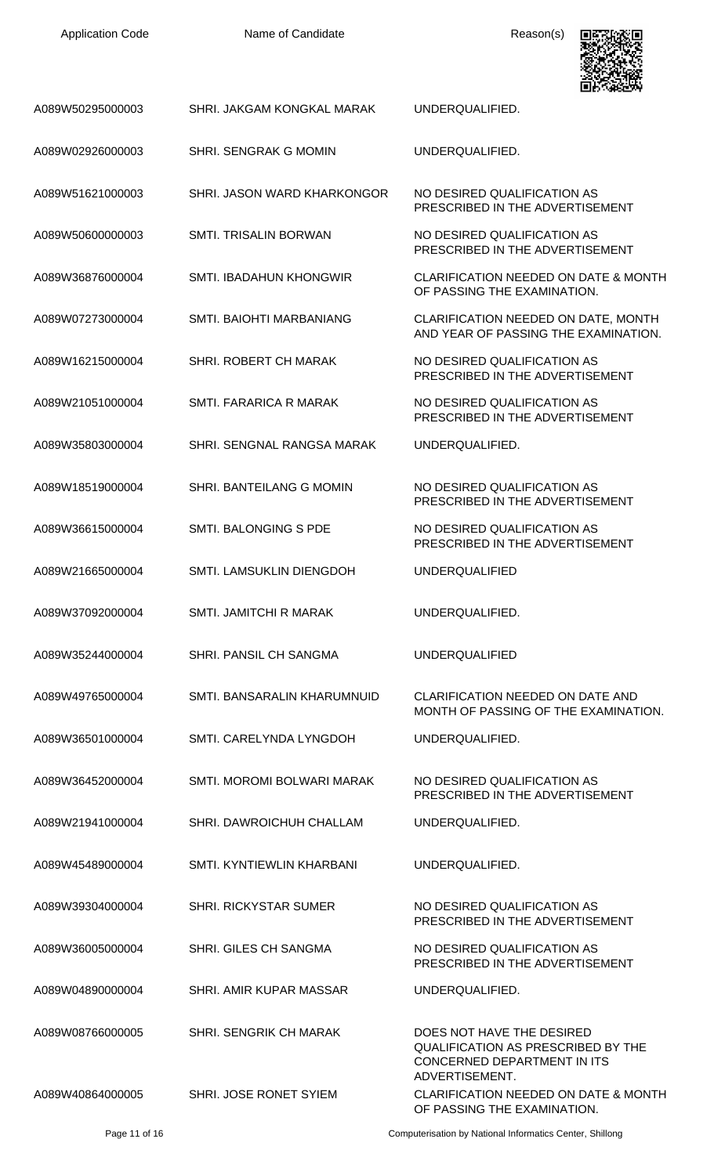Name of Candidate **Reason(s)** 



| A089W50295000003 | SHRI. JAKGAM KONGKAL MARAK      | UNDERQUALIFIED.                                                                                                                |
|------------------|---------------------------------|--------------------------------------------------------------------------------------------------------------------------------|
| A089W02926000003 | SHRI. SENGRAK G MOMIN           | UNDERQUALIFIED.                                                                                                                |
| A089W51621000003 | SHRI. JASON WARD KHARKONGOR     | NO DESIRED QUALIFICATION AS<br>PRESCRIBED IN THE ADVERTISEMENT                                                                 |
| A089W50600000003 | <b>SMTL TRISALIN BORWAN</b>     | NO DESIRED QUALIFICATION AS<br>PRESCRIBED IN THE ADVERTISEMENT                                                                 |
| A089W36876000004 | <b>SMTI. IBADAHUN KHONGWIR</b>  | <b>CLARIFICATION NEEDED ON DATE &amp; MONTH</b><br>OF PASSING THE EXAMINATION.                                                 |
| A089W07273000004 | SMTI. BAIOHTI MARBANIANG        | CLARIFICATION NEEDED ON DATE, MONTH<br>AND YEAR OF PASSING THE EXAMINATION.                                                    |
| A089W16215000004 | <b>SHRI, ROBERT CH MARAK</b>    | NO DESIRED QUALIFICATION AS<br>PRESCRIBED IN THE ADVERTISEMENT                                                                 |
| A089W21051000004 | SMTI, FARARICA R MARAK          | NO DESIRED QUALIFICATION AS<br>PRESCRIBED IN THE ADVERTISEMENT                                                                 |
| A089W35803000004 | SHRI, SENGNAL RANGSA MARAK      | UNDERQUALIFIED.                                                                                                                |
| A089W18519000004 | SHRI. BANTEILANG G MOMIN        | NO DESIRED QUALIFICATION AS<br>PRESCRIBED IN THE ADVERTISEMENT                                                                 |
| A089W36615000004 | <b>SMTI. BALONGING S PDE</b>    | NO DESIRED QUALIFICATION AS<br>PRESCRIBED IN THE ADVERTISEMENT                                                                 |
| A089W21665000004 | <b>SMTI. LAMSUKLIN DIENGDOH</b> | <b>UNDERQUALIFIED</b>                                                                                                          |
| A089W37092000004 | SMTI. JAMITCHI R MARAK          | UNDERQUALIFIED.                                                                                                                |
| A089W35244000004 | SHRI. PANSIL CH SANGMA          | <b>UNDERQUALIFIED</b>                                                                                                          |
| A089W49765000004 | SMTI, BANSARALIN KHARUMNUID     | CLARIFICATION NEEDED ON DATE AND<br>MONTH OF PASSING OF THE EXAMINATION.                                                       |
| A089W36501000004 | SMTI, CARELYNDA LYNGDOH         | UNDERQUALIFIED.                                                                                                                |
| A089W36452000004 | SMTI. MOROMI BOLWARI MARAK      | NO DESIRED QUALIFICATION AS<br>PRESCRIBED IN THE ADVERTISEMENT                                                                 |
| A089W21941000004 | SHRI. DAWROICHUH CHALLAM        | UNDERQUALIFIED.                                                                                                                |
| A089W45489000004 | SMTI. KYNTIEWLIN KHARBANI       | UNDERQUALIFIED.                                                                                                                |
| A089W39304000004 | <b>SHRI. RICKYSTAR SUMER</b>    | NO DESIRED QUALIFICATION AS<br>PRESCRIBED IN THE ADVERTISEMENT                                                                 |
| A089W36005000004 | <b>SHRI. GILES CH SANGMA</b>    | NO DESIRED QUALIFICATION AS<br>PRESCRIBED IN THE ADVERTISEMENT                                                                 |
| A089W04890000004 | SHRI. AMIR KUPAR MASSAR         | UNDERQUALIFIED.                                                                                                                |
| A089W08766000005 | <b>SHRI. SENGRIK CH MARAK</b>   | DOES NOT HAVE THE DESIRED<br><b>QUALIFICATION AS PRESCRIBED BY THE</b><br><b>CONCERNED DEPARTMENT IN ITS</b><br>ADVERTISEMENT. |
| A089W40864000005 | SHRI. JOSE RONET SYIEM          | CLARIFICATION NEEDED ON DATE & MONTH<br>OF PASSING THE EXAMINATION.                                                            |

Page 11 of 16 Computerisation by National Informatics Center, Shillong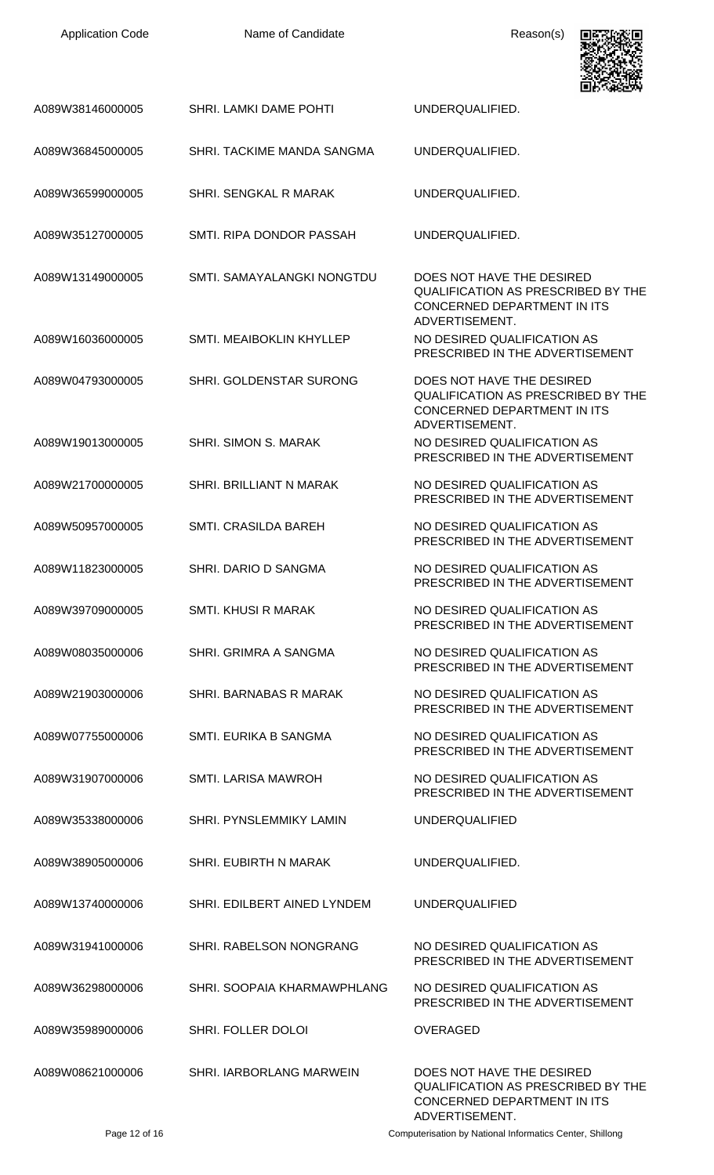| <b>Application Code</b> | Name of Candidate              | Reason(s)                                                                                                               |
|-------------------------|--------------------------------|-------------------------------------------------------------------------------------------------------------------------|
| A089W38146000005        | SHRI. LAMKI DAME POHTI         | UNDERQUALIFIED.                                                                                                         |
| A089W36845000005        | SHRI. TACKIME MANDA SANGMA     | UNDERQUALIFIED.                                                                                                         |
| A089W36599000005        | SHRI, SENGKAL R MARAK          | UNDERQUALIFIED.                                                                                                         |
| A089W35127000005        | SMTI. RIPA DONDOR PASSAH       | UNDERQUALIFIED.                                                                                                         |
| A089W13149000005        | SMTI. SAMAYALANGKI NONGTDU     | DOES NOT HAVE THE DESIRED<br>QUALIFICATION AS PRESCRIBED BY THE<br>CONCERNED DEPARTMENT IN ITS<br>ADVERTISEMENT.        |
| A089W16036000005        | SMTI. MEAIBOKLIN KHYLLEP       | NO DESIRED QUALIFICATION AS<br>PRESCRIBED IN THE ADVERTISEMENT                                                          |
| A089W04793000005        | SHRI. GOLDENSTAR SURONG        | DOES NOT HAVE THE DESIRED<br><b>QUALIFICATION AS PRESCRIBED BY THE</b><br>CONCERNED DEPARTMENT IN ITS<br>ADVERTISEMENT. |
| A089W19013000005        | <b>SHRI. SIMON S. MARAK</b>    | NO DESIRED QUALIFICATION AS<br>PRESCRIBED IN THE ADVERTISEMENT                                                          |
| A089W21700000005        | <b>SHRI. BRILLIANT N MARAK</b> | NO DESIRED QUALIFICATION AS<br>PRESCRIBED IN THE ADVERTISEMENT                                                          |
| A089W50957000005        | <b>SMTI. CRASILDA BAREH</b>    | NO DESIRED QUALIFICATION AS<br>PRESCRIBED IN THE ADVERTISEMENT                                                          |
| A089W11823000005        | SHRI, DARIO D SANGMA           | NO DESIRED QUALIFICATION AS<br>PRESCRIBED IN THE ADVERTISEMENT                                                          |
| A089W39709000005        | <b>SMTI. KHUSI R MARAK</b>     | NO DESIRED QUALIFICATION AS<br>PRESCRIBED IN THE ADVERTISEMENT                                                          |
| A089W08035000006        | SHRI. GRIMRA A SANGMA          | NO DESIRED QUALIFICATION AS<br>PRESCRIBED IN THE ADVERTISEMENT                                                          |
| A089W21903000006        | SHRI. BARNABAS R MARAK         | NO DESIRED QUALIFICATION AS<br>PRESCRIBED IN THE ADVERTISEMENT                                                          |
| A089W07755000006        | SMTI. EURIKA B SANGMA          | NO DESIRED QUALIFICATION AS<br>PRESCRIBED IN THE ADVERTISEMENT                                                          |
| A089W31907000006        | <b>SMTI. LARISA MAWROH</b>     | NO DESIRED QUALIFICATION AS<br>PRESCRIBED IN THE ADVERTISEMENT                                                          |
| A089W35338000006        | <b>SHRI. PYNSLEMMIKY LAMIN</b> | <b>UNDERQUALIFIED</b>                                                                                                   |
| A089W38905000006        | <b>SHRI. EUBIRTH N MARAK</b>   | UNDERQUALIFIED.                                                                                                         |
| A089W13740000006        | SHRI. EDILBERT AINED LYNDEM    | <b>UNDERQUALIFIED</b>                                                                                                   |
| A089W31941000006        | SHRI. RABELSON NONGRANG        | NO DESIRED QUALIFICATION AS<br>PRESCRIBED IN THE ADVERTISEMENT                                                          |
| A089W36298000006        | SHRI. SOOPAIA KHARMAWPHLANG    | NO DESIRED QUALIFICATION AS<br>PRESCRIBED IN THE ADVERTISEMENT                                                          |
| A089W35989000006        | SHRI. FOLLER DOLOI             | <b>OVERAGED</b>                                                                                                         |
| A089W08621000006        | SHRI. IARBORLANG MARWEIN       | DOES NOT HAVE THE DESIRED<br>QUALIFICATION AS PRESCRIBED BY THE<br>CONCERNED DEPARTMENT IN ITS                          |

Page 12 of 16 Computerisation by National Informatics Center, Shillong

ADVERTISEMENT.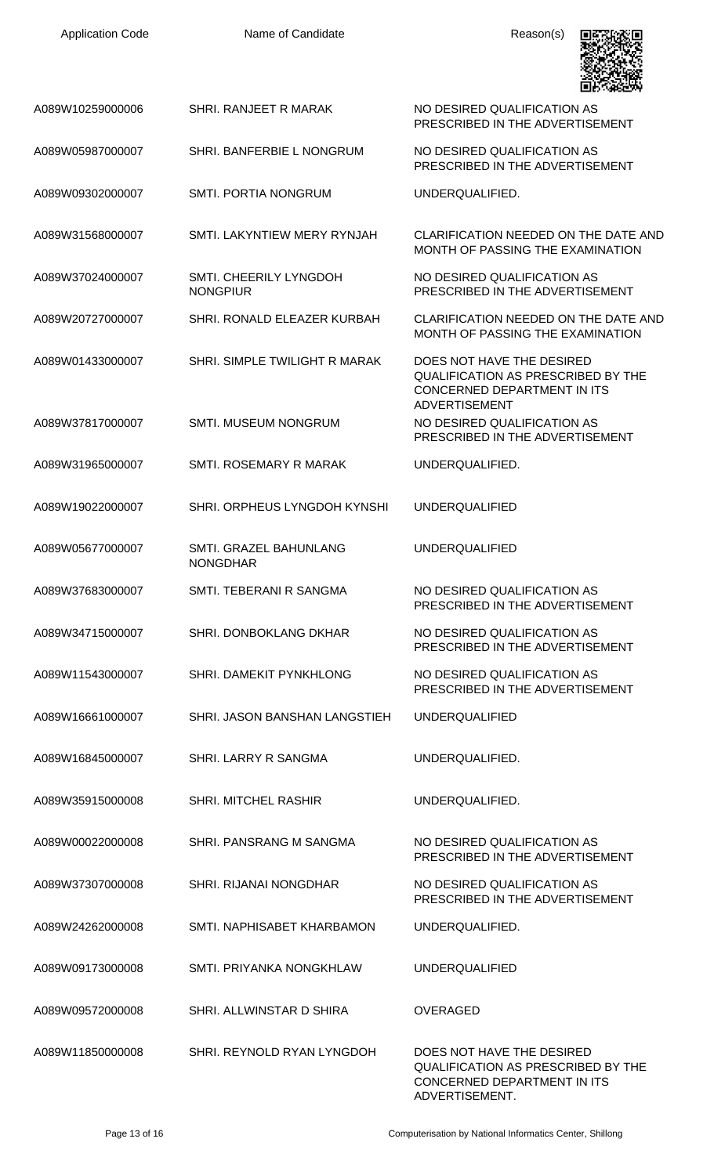| <b>Application Code</b> | Name of Candidate                         | Reason(s)                                                                                                              |
|-------------------------|-------------------------------------------|------------------------------------------------------------------------------------------------------------------------|
| A089W10259000006        | SHRI. RANJEET R MARAK                     | NO DESIRED QUALIFICATION AS<br>PRESCRIBED IN THE ADVERTISEMENT                                                         |
| A089W05987000007        | SHRI. BANFERBIE L NONGRUM                 | NO DESIRED QUALIFICATION AS<br>PRESCRIBED IN THE ADVERTISEMENT                                                         |
| A089W09302000007        | SMTI. PORTIA NONGRUM                      | UNDERQUALIFIED.                                                                                                        |
| A089W31568000007        | SMTI. LAKYNTIEW MERY RYNJAH               | CLARIFICATION NEEDED ON THE DATE AND<br>MONTH OF PASSING THE EXAMINATION                                               |
| A089W37024000007        | SMTI. CHEERILY LYNGDOH<br><b>NONGPIUR</b> | NO DESIRED QUALIFICATION AS<br>PRESCRIBED IN THE ADVERTISEMENT                                                         |
| A089W20727000007        | SHRI. RONALD ELEAZER KURBAH               | CLARIFICATION NEEDED ON THE DATE AND<br>MONTH OF PASSING THE EXAMINATION                                               |
| A089W01433000007        | SHRI. SIMPLE TWILIGHT R MARAK             | DOES NOT HAVE THE DESIRED<br>QUALIFICATION AS PRESCRIBED BY THE<br>CONCERNED DEPARTMENT IN ITS<br><b>ADVERTISEMENT</b> |
| A089W37817000007        | <b>SMTI. MUSEUM NONGRUM</b>               | NO DESIRED QUALIFICATION AS<br>PRESCRIBED IN THE ADVERTISEMENT                                                         |
| A089W31965000007        | SMTI. ROSEMARY R MARAK                    | UNDERQUALIFIED.                                                                                                        |
| A089W19022000007        | SHRI. ORPHEUS LYNGDOH KYNSHI              | <b>UNDERQUALIFIED</b>                                                                                                  |
| A089W05677000007        | SMTI. GRAZEL BAHUNLANG<br><b>NONGDHAR</b> | <b>UNDERQUALIFIED</b>                                                                                                  |
| A089W37683000007        | SMTI. TEBERANI R SANGMA                   | NO DESIRED QUALIFICATION AS<br>PRESCRIBED IN THE ADVERTISEMENT                                                         |
| A089W34715000007        | <b>SHRI. DONBOKLANG DKHAR</b>             | NO DESIRED QUALIFICATION AS<br>PRESCRIBED IN THE ADVERTISEMENT                                                         |
| A089W11543000007        | SHRI, DAMEKIT PYNKHLONG                   | NO DESIRED QUALIFICATION AS<br>PRESCRIBED IN THE ADVERTISEMENT                                                         |
| A089W16661000007        | SHRI. JASON BANSHAN LANGSTIEH             | <b>UNDERQUALIFIED</b>                                                                                                  |
| A089W16845000007        | SHRI. LARRY R SANGMA                      | UNDERQUALIFIED.                                                                                                        |
| A089W35915000008        | <b>SHRI. MITCHEL RASHIR</b>               | UNDERQUALIFIED.                                                                                                        |
| A089W00022000008        | SHRI. PANSRANG M SANGMA                   | NO DESIRED QUALIFICATION AS<br>PRESCRIBED IN THE ADVERTISEMENT                                                         |
| A089W37307000008        | <b>SHRI. RIJANAI NONGDHAR</b>             | NO DESIRED QUALIFICATION AS<br>PRESCRIBED IN THE ADVERTISEMENT                                                         |
| A089W24262000008        | SMTI. NAPHISABET KHARBAMON                | UNDERQUALIFIED.                                                                                                        |
| A089W09173000008        | SMTI. PRIYANKA NONGKHLAW                  | <b>UNDERQUALIFIED</b>                                                                                                  |
| A089W09572000008        | SHRI, ALLWINSTAR D SHIRA                  | <b>OVERAGED</b>                                                                                                        |
| A089W11850000008        | SHRI. REYNOLD RYAN LYNGDOH                | DOES NOT HAVE THE DESIRED<br>QUALIFICATION AS PRESCRIBED BY THE<br>CONCERNED DEPARTMENT IN ITS                         |

Page 13 of 16 Computerisation by National Informatics Center, Shillong

ADVERTISEMENT.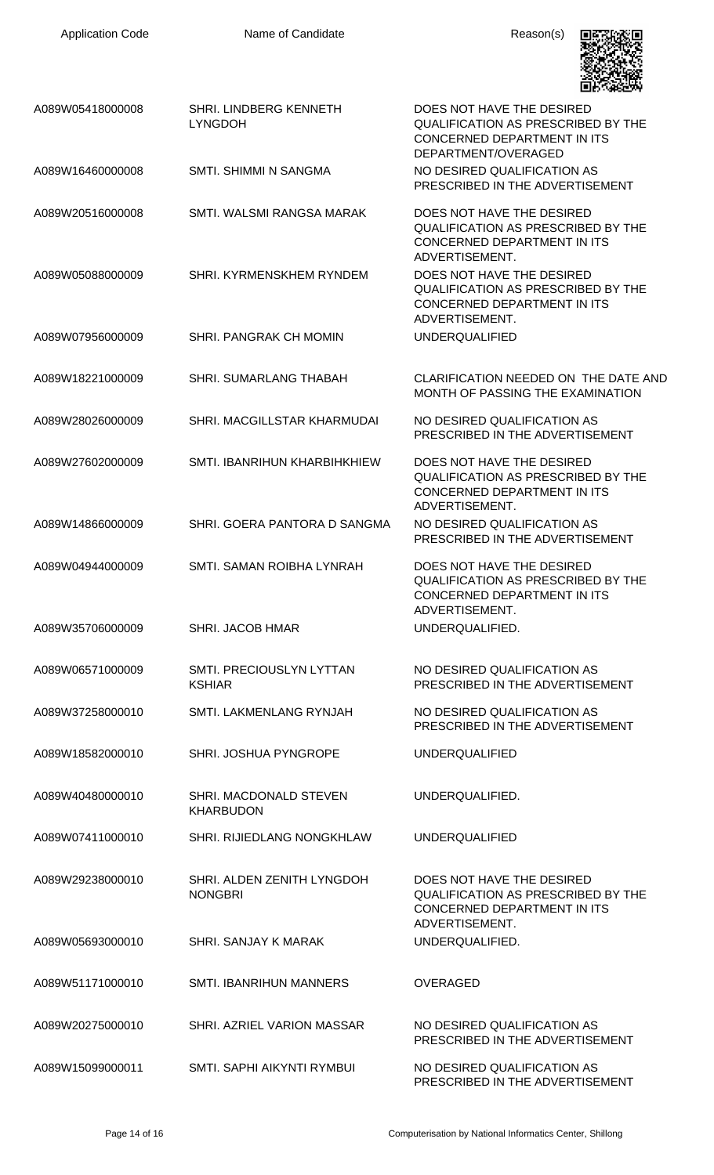

|                  |                                              | шружану                                                                                                                        |
|------------------|----------------------------------------------|--------------------------------------------------------------------------------------------------------------------------------|
| A089W05418000008 | SHRI. LINDBERG KENNETH<br><b>LYNGDOH</b>     | DOES NOT HAVE THE DESIRED<br><b>QUALIFICATION AS PRESCRIBED BY THE</b><br>CONCERNED DEPARTMENT IN ITS<br>DEPARTMENT/OVERAGED   |
| A089W16460000008 | SMTI. SHIMMI N SANGMA                        | NO DESIRED QUALIFICATION AS<br>PRESCRIBED IN THE ADVERTISEMENT                                                                 |
| A089W20516000008 | SMTI, WALSMI RANGSA MARAK                    | DOES NOT HAVE THE DESIRED<br><b>QUALIFICATION AS PRESCRIBED BY THE</b><br>CONCERNED DEPARTMENT IN ITS<br>ADVERTISEMENT.        |
| A089W05088000009 | SHRI. KYRMENSKHEM RYNDEM                     | DOES NOT HAVE THE DESIRED<br><b>QUALIFICATION AS PRESCRIBED BY THE</b><br>CONCERNED DEPARTMENT IN ITS<br>ADVERTISEMENT.        |
| A089W07956000009 | SHRI. PANGRAK CH MOMIN                       | <b>UNDERQUALIFIED</b>                                                                                                          |
| A089W18221000009 | SHRI. SUMARLANG THABAH                       | CLARIFICATION NEEDED ON THE DATE AND<br>MONTH OF PASSING THE EXAMINATION                                                       |
| A089W28026000009 | SHRI. MACGILLSTAR KHARMUDAI                  | NO DESIRED QUALIFICATION AS<br>PRESCRIBED IN THE ADVERTISEMENT                                                                 |
| A089W27602000009 | SMTI. IBANRIHUN KHARBIHKHIEW                 | DOES NOT HAVE THE DESIRED<br><b>QUALIFICATION AS PRESCRIBED BY THE</b><br>CONCERNED DEPARTMENT IN ITS<br>ADVERTISEMENT.        |
| A089W14866000009 | SHRI. GOERA PANTORA D SANGMA                 | NO DESIRED QUALIFICATION AS<br>PRESCRIBED IN THE ADVERTISEMENT                                                                 |
| A089W04944000009 | SMTI. SAMAN ROIBHA LYNRAH                    | DOES NOT HAVE THE DESIRED<br><b>QUALIFICATION AS PRESCRIBED BY THE</b><br><b>CONCERNED DEPARTMENT IN ITS</b><br>ADVERTISEMENT. |
| A089W35706000009 | SHRI. JACOB HMAR                             | UNDERQUALIFIED.                                                                                                                |
| A089W06571000009 | SMTI, PRECIOUSLYN LYTTAN<br><b>KSHIAR</b>    | NO DESIRED OUALIFICATION AS<br>PRESCRIBED IN THE ADVERTISEMENT                                                                 |
| A089W37258000010 | SMTI. LAKMENLANG RYNJAH                      | NO DESIRED QUALIFICATION AS<br>PRESCRIBED IN THE ADVERTISEMENT                                                                 |
| A089W18582000010 | SHRI. JOSHUA PYNGROPE                        | <b>UNDERQUALIFIED</b>                                                                                                          |
| A089W40480000010 | SHRI. MACDONALD STEVEN<br><b>KHARBUDON</b>   | UNDERQUALIFIED.                                                                                                                |
| A089W07411000010 | SHRI. RIJIEDLANG NONGKHLAW                   | <b>UNDERQUALIFIED</b>                                                                                                          |
| A089W29238000010 | SHRI. ALDEN ZENITH LYNGDOH<br><b>NONGBRI</b> | DOES NOT HAVE THE DESIRED<br><b>QUALIFICATION AS PRESCRIBED BY THE</b><br>CONCERNED DEPARTMENT IN ITS<br>ADVERTISEMENT.        |
| A089W05693000010 | SHRI. SANJAY K MARAK                         | UNDERQUALIFIED.                                                                                                                |
| A089W51171000010 | <b>SMTI. IBANRIHUN MANNERS</b>               | <b>OVERAGED</b>                                                                                                                |
| A089W20275000010 | SHRI. AZRIEL VARION MASSAR                   | NO DESIRED OUALIFICATION AS<br>PRESCRIBED IN THE ADVERTISEMENT                                                                 |
| A089W15099000011 | SMTI. SAPHI AIKYNTI RYMBUI                   | NO DESIRED QUALIFICATION AS<br>PRESCRIBED IN THE ADVERTISEMENT                                                                 |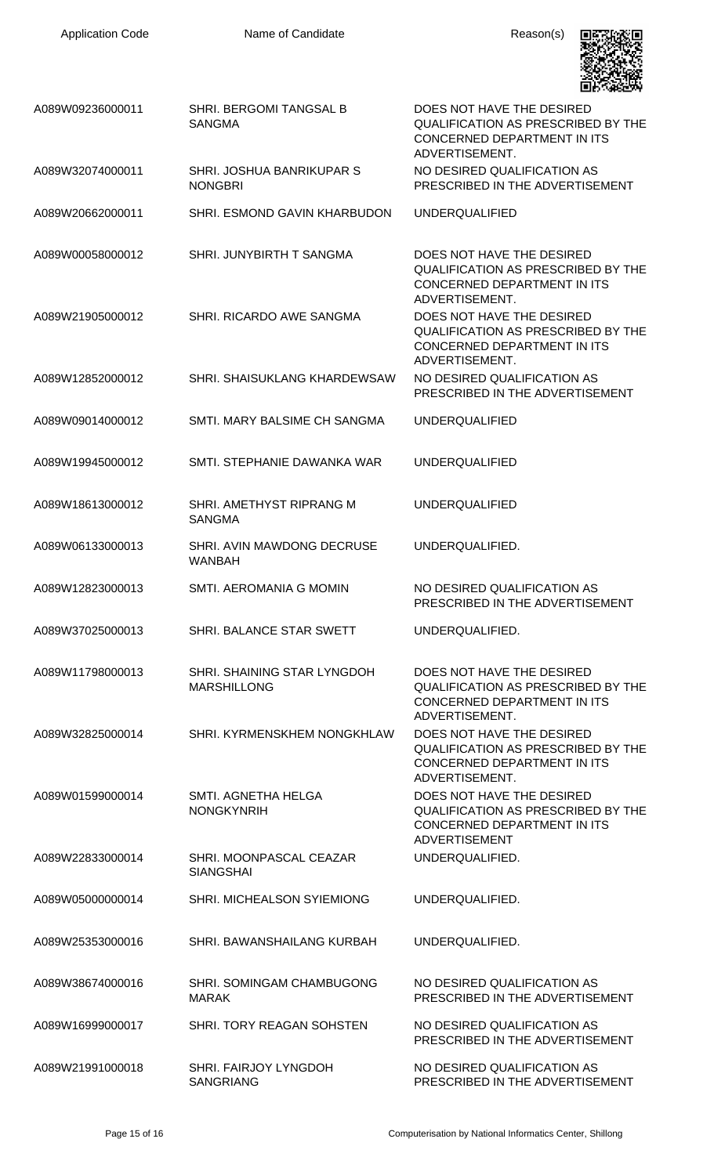

| A089W09236000011 | SHRI. BERGOMI TANGSAL B<br><b>SANGMA</b>          | DOES NOT HAVE THE DESIRED<br><b>QUALIFICATION AS PRESCRIBED BY THE</b><br>CONCERNED DEPARTMENT IN ITS<br>ADVERTISEMENT.       |
|------------------|---------------------------------------------------|-------------------------------------------------------------------------------------------------------------------------------|
| A089W32074000011 | SHRI. JOSHUA BANRIKUPAR S<br><b>NONGBRI</b>       | NO DESIRED QUALIFICATION AS<br>PRESCRIBED IN THE ADVERTISEMENT                                                                |
| A089W20662000011 | <b>SHRI. ESMOND GAVIN KHARBUDON</b>               | <b>UNDERQUALIFIED</b>                                                                                                         |
| A089W00058000012 | SHRI. JUNYBIRTH T SANGMA                          | DOES NOT HAVE THE DESIRED<br>QUALIFICATION AS PRESCRIBED BY THE<br><b>CONCERNED DEPARTMENT IN ITS</b><br>ADVERTISEMENT.       |
| A089W21905000012 | SHRI. RICARDO AWE SANGMA                          | DOES NOT HAVE THE DESIRED<br><b>QUALIFICATION AS PRESCRIBED BY THE</b><br>CONCERNED DEPARTMENT IN ITS<br>ADVERTISEMENT.       |
| A089W12852000012 | SHRI, SHAISUKLANG KHARDEWSAW                      | NO DESIRED QUALIFICATION AS<br>PRESCRIBED IN THE ADVERTISEMENT                                                                |
| A089W09014000012 | SMTI. MARY BALSIME CH SANGMA                      | <b>UNDERQUALIFIED</b>                                                                                                         |
| A089W19945000012 | SMTI. STEPHANIE DAWANKA WAR                       | <b>UNDERQUALIFIED</b>                                                                                                         |
| A089W18613000012 | SHRI. AMETHYST RIPRANG M<br><b>SANGMA</b>         | <b>UNDERQUALIFIED</b>                                                                                                         |
| A089W06133000013 | SHRI. AVIN MAWDONG DECRUSE<br><b>WANBAH</b>       | UNDERQUALIFIED.                                                                                                               |
| A089W12823000013 | SMTI. AEROMANIA G MOMIN                           | NO DESIRED QUALIFICATION AS<br>PRESCRIBED IN THE ADVERTISEMENT                                                                |
| A089W37025000013 | SHRI. BALANCE STAR SWETT                          | UNDERQUALIFIED.                                                                                                               |
| A089W11798000013 | SHRI. SHAINING STAR LYNGDOH<br><b>MARSHILLONG</b> | DOES NOT HAVE THE DESIRED<br><b>QUALIFICATION AS PRESCRIBED BY THE</b><br>CONCERNED DEPARTMENT IN ITS<br>ADVERTISEMENT.       |
| A089W32825000014 | SHRI. KYRMENSKHEM NONGKHLAW                       | DOES NOT HAVE THE DESIRED<br>QUALIFICATION AS PRESCRIBED BY THE<br><b>CONCERNED DEPARTMENT IN ITS</b><br>ADVERTISEMENT.       |
| A089W01599000014 | SMTI. AGNETHA HELGA<br><b>NONGKYNRIH</b>          | DOES NOT HAVE THE DESIRED<br><b>QUALIFICATION AS PRESCRIBED BY THE</b><br>CONCERNED DEPARTMENT IN ITS<br><b>ADVERTISEMENT</b> |
| A089W22833000014 | SHRI. MOONPASCAL CEAZAR<br><b>SIANGSHAI</b>       | UNDERQUALIFIED.                                                                                                               |
| A089W05000000014 | SHRI. MICHEALSON SYIEMIONG                        | UNDERQUALIFIED.                                                                                                               |
| A089W25353000016 | SHRI. BAWANSHAILANG KURBAH                        | UNDERQUALIFIED.                                                                                                               |
| A089W38674000016 | SHRI. SOMINGAM CHAMBUGONG<br><b>MARAK</b>         | NO DESIRED QUALIFICATION AS<br>PRESCRIBED IN THE ADVERTISEMENT                                                                |
| A089W16999000017 | SHRI. TORY REAGAN SOHSTEN                         | NO DESIRED QUALIFICATION AS<br>PRESCRIBED IN THE ADVERTISEMENT                                                                |
| A089W21991000018 | SHRI. FAIRJOY LYNGDOH<br><b>SANGRIANG</b>         | NO DESIRED QUALIFICATION AS<br>PRESCRIBED IN THE ADVERTISEMENT                                                                |